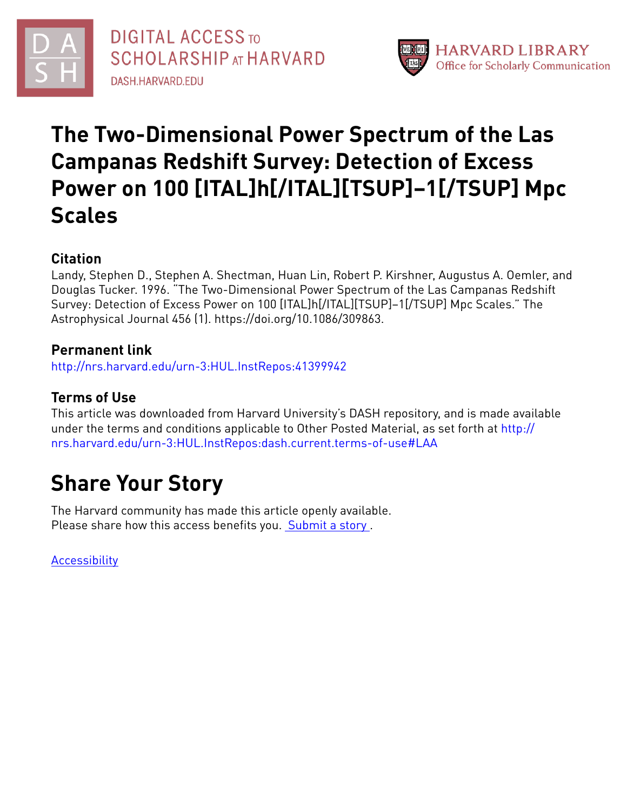



# **The Two-Dimensional Power Spectrum of the Las Campanas Redshift Survey: Detection of Excess Power on 100 [ITAL]h[/ITAL][TSUP]−1[/TSUP] Mpc Scales**

# **Citation**

Landy, Stephen D., Stephen A. Shectman, Huan Lin, Robert P. Kirshner, Augustus A. Oemler, and Douglas Tucker. 1996. "The Two-Dimensional Power Spectrum of the Las Campanas Redshift Survey: Detection of Excess Power on 100 [ITAL]h[/ITAL][TSUP]−1[/TSUP] Mpc Scales." The Astrophysical Journal 456 (1). https://doi.org/10.1086/309863.

# **Permanent link**

<http://nrs.harvard.edu/urn-3:HUL.InstRepos:41399942>

# **Terms of Use**

This article was downloaded from Harvard University's DASH repository, and is made available under the terms and conditions applicable to Other Posted Material, as set forth at [http://](http://nrs.harvard.edu/urn-3:HUL.InstRepos:dash.current.terms-of-use#LAA) [nrs.harvard.edu/urn-3:HUL.InstRepos:dash.current.terms-of-use#LAA](http://nrs.harvard.edu/urn-3:HUL.InstRepos:dash.current.terms-of-use#LAA)

# **Share Your Story**

The Harvard community has made this article openly available. Please share how this access benefits you. [Submit](http://osc.hul.harvard.edu/dash/open-access-feedback?handle=&title=The%20Two-Dimensional%20Power%20Spectrum%20of%20the%20Las%20Campanas%20Redshift%20Survey:%20Detection%20of%20Excess%20Power%20on%20100%20[ITAL]h[/ITAL][TSUP]%E2%88%921[/TSUP]%20Mpc%20Scales&community=1/1&collection=1/2&owningCollection1/2&harvardAuthors=c5f529466a29edc6aacd130714b5f9a2&department) a story .

**[Accessibility](https://dash.harvard.edu/pages/accessibility)**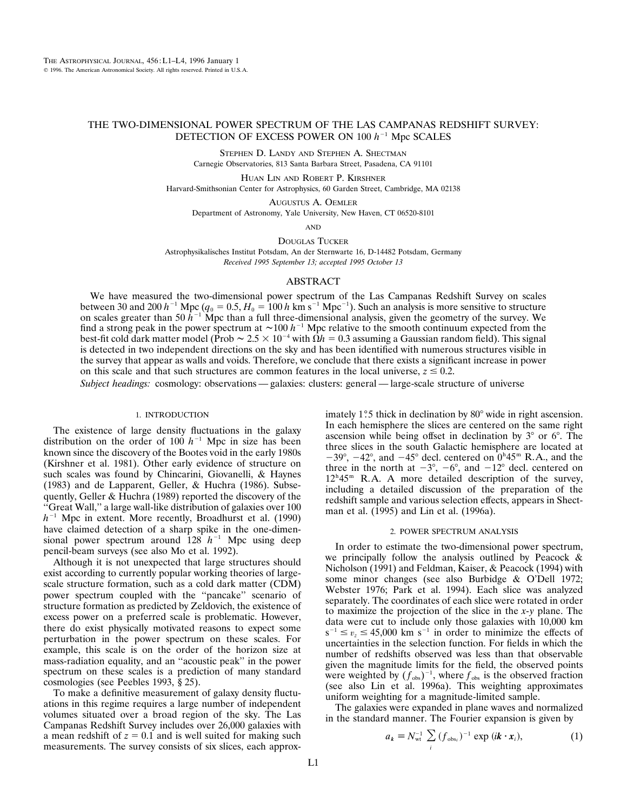## THE TWO-DIMENSIONAL POWER SPECTRUM OF THE LAS CAMPANAS REDSHIFT SURVEY: DETECTION OF EXCESS POWER ON  $100 h^{-1}$  Mpc SCALES

STEPHEN D. LANDY AND STEPHEN A. SHECTMAN Carnegie Observatories, 813 Santa Barbara Street, Pasadena, CA 91101

HUAN LIN AND ROBERT P. KIRSHNER Harvard-Smithsonian Center for Astrophysics, 60 Garden Street, Cambridge, MA 02138

AUGUSTUS A. OEMLER Department of Astronomy, Yale University, New Haven, CT 06520-8101

AND

DOUGLAS TUCKER

Astrophysikalisches Institut Potsdam, An der Sternwarte 16, D-14482 Potsdam, Germany *Received 1995 September 13; accepted 1995 October 13*

### ABSTRACT

We have measured the two-dimensional power spectrum of the Las Campanas Redshift Survey on scales between 30 and 200  $h^{-1}$  Mpc ( $q_0 = 0.5, H_0 = 100 h$  km s<sup>-1</sup> Mpc<sup>-1</sup>). Such an analysis is more sensitive to structure on scales greater than 50  $h^{-1}$  Mpc than a full three-dimensional analysis, given the geometry of the survey. We find a strong peak in the power spectrum at  $\sim$ 100  $h^{-1}$  Mpc relative to the smooth continuum expected from the best-fit cold dark matter model (Prob  $\sim 2.5 \times 10^{-4}$  with  $\dot{\Omega}h = 0.3$  assuming a Gaussian random field). This signal is detected in two independent directions on the sky and has been identified with numerous structures visible in the survey that appear as walls and voids. Therefore, we conclude that there exists a significant increase in power on this scale and that such structures are common features in the local universe,  $z \le 0.2$ .

*Subject headings:* cosmology: observations — galaxies: clusters: general — large-scale structure of universe

#### 1. INTRODUCTION

The existence of large density fluctuations in the galaxy distribution on the order of 100  $h^{-1}$  Mpc in size has been known since the discovery of the Bootes void in the early 1980s (Kirshner et al. 1981). Other early evidence of structure on such scales was found by Chincarini, Giovanelli, & Haynes (1983) and de Lapparent, Geller, & Huchra (1986). Subsequently, Geller & Huchra (1989) reported the discovery of the ''Great Wall,'' a large wall-like distribution of galaxies over 100  $h^{-1}$  Mpc in extent. More recently, Broadhurst et al. (1990) have claimed detection of a sharp spike in the one-dimensional power spectrum around  $128 h^{-1}$  Mpc using deep pencil-beam surveys (see also Mo et al. 1992).

Although it is not unexpected that large structures should exist according to currently popular working theories of largescale structure formation, such as a cold dark matter (CDM) power spectrum coupled with the ''pancake'' scenario of structure formation as predicted by Zeldovich, the existence of excess power on a preferred scale is problematic. However, there do exist physically motivated reasons to expect some perturbation in the power spectrum on these scales. For example, this scale is on the order of the horizon size at mass-radiation equality, and an ''acoustic peak'' in the power spectrum on these scales is a prediction of many standard cosmologies (see Peebles 1993, § 25).

To make a definitive measurement of galaxy density fluctuations in this regime requires a large number of independent volumes situated over a broad region of the sky. The Las Campanas Redshift Survey includes over 26,000 galaxies with a mean redshift of  $z = 0.1$  and is well suited for making such measurements. The survey consists of six slices, each approximately  $1^\circ$ 5 thick in declination by  $80^\circ$  wide in right ascension. In each hemisphere the slices are centered on the same right ascension while being offset in declination by  $3^{\circ}$  or  $6^{\circ}$ . The three slices in the south Galactic hemisphere are located at  $-39^{\circ}$ ,  $-42^{\circ}$ , and  $-45^{\circ}$  decl. centered on  $0^{\circ}45^{\circ}$  R.A., and the three in the north at  $-3^{\circ}$ ,  $-6^{\circ}$ , and  $-12^{\circ}$  decl. centered on 12<sup>h</sup> 45<sup>m</sup> R.A. A more detailed description of the survey, including a detailed discussion of the preparation of the redshift sample and various selection effects, appears in Shectman et al. (1995) and Lin et al. (1996a).

#### 2. POWER SPECTRUM ANALYSIS

In order to estimate the two-dimensional power spectrum, we principally follow the analysis outlined by Peacock & Nicholson (1991) and Feldman, Kaiser, & Peacock (1994) with some minor changes (see also Burbidge & O'Dell 1972; Webster 1976; Park et al. 1994). Each slice was analyzed separately. The coordinates of each slice were rotated in order to maximize the projection of the slice in the *x*-*y* plane. The data were cut to include only those galaxies with 10,000 km  $s^{-1} \le v_z \le 45,000$  km s<sup>-1</sup> in order to minimize the effects of uncertainties in the selection function. For fields in which the number of redshifts observed was less than that observable given the magnitude limits for the field, the observed points were weighted by  $(f_{obs})^{-1}$ , where  $f_{obs}$  is the observed fraction (see also Lin et al. 1996a). This weighting approximates uniform weighting for a magnitude-limited sample.

The galaxies were expanded in plane waves and normalized in the standard manner. The Fourier expansion is given by

$$
a_k = N_{\rm wt}^{-1} \sum_i (f_{\rm obs_i})^{-1} \exp(i\mathbf{k} \cdot \mathbf{x}_i), \qquad (1)
$$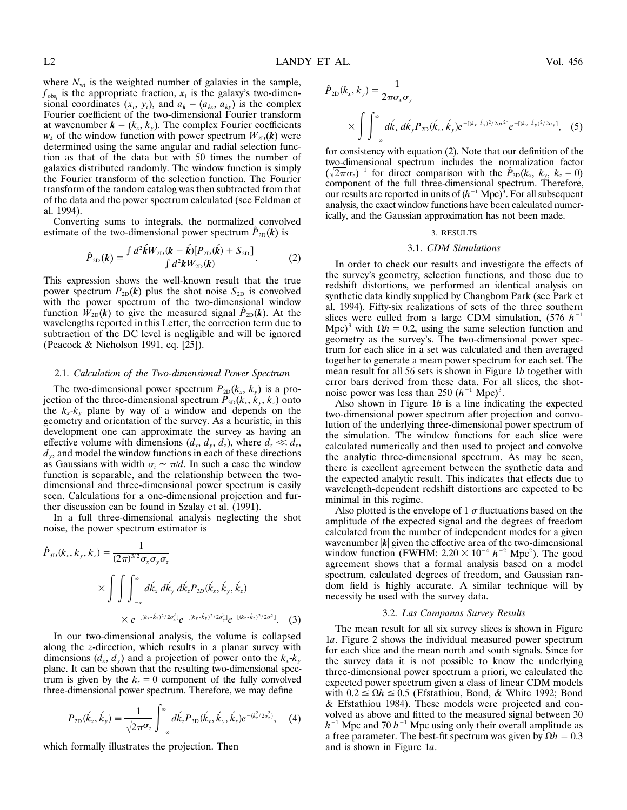where  $N_{wt}$  is the weighted number of galaxies in the sample,  $f_{obs}$  is the appropriate fraction,  $x_i$  is the galaxy's two-dimensional coordinates  $(x_i, y_i)$ , and  $a_k = (a_{kx}, a_{ky})$  is the complex Fourier coefficient of the two-dimensional Fourier transform at wavenumber  $\mathbf{k} = (k_x, k_y)$ . The complex Fourier coefficients  $w_k$  of the window function with power spectrum  $W_{2D}(\mathbf{k})$  were determined using the same angular and radial selection function as that of the data but with 50 times the number of galaxies distributed randomly. The window function is simply the Fourier transform of the selection function. The Fourier transform of the random catalog was then subtracted from that of the data and the power spectrum calculated (see Feldman et al. 1994).

Converting sums to integrals, the normalized convolved estimate of the two-dimensional power spectrum  $\hat{P}_{2D}(k)$  is

$$
\hat{P}_{2D}(\boldsymbol{k}) = \frac{\int d^2 \hat{\boldsymbol{k}} W_{2D}(\boldsymbol{k} - \hat{\boldsymbol{k}}) [P_{2D}(\hat{\boldsymbol{k}}) + S_{2D}]}{\int d^2 \boldsymbol{k} W_{2D}(\boldsymbol{k})}.
$$
(2)

This expression shows the well-known result that the true power spectrum  $P_{2D}(k)$  plus the shot noise  $S_{2D}$  is convolved with the power spectrum of the two-dimensional window function  $W_{2D}(k)$  to give the measured signal  $\hat{P}_{2D}(k)$ . At the wavelengths reported in this Letter, the correction term due to subtraction of the DC level is negligible and will be ignored (Peacock & Nicholson 1991, eq. [25]).

#### 2.1. *Calculation of the Two-dimensional Power Spectrum*

The two-dimensional power spectrum  $P_{2D}(k_x, k_y)$  is a projection of the three-dimensional spectrum  $P_{3D}(k_x, k_y, k_z)$  onto the  $k_x - k_y$  plane by way of a window and depends on the geometry and orientation of the survey. As a heuristic, in this development one can approximate the survey as having an effective volume with dimensions  $(d_x, d_y, d_z)$ , where  $d_z \ll d_x$ , *dy*, and model the window functions in each of these directions as Gaussians with width  $\sigma_i \sim \pi/d$ . In such a case the window function is separable, and the relationship between the twodimensional and three-dimensional power spectrum is easily seen. Calculations for a one-dimensional projection and further discussion can be found in Szalay et al. (1991).

In a full three-dimensional analysis neglecting the shot noise, the power spectrum estimator is

$$
\hat{P}_{3D}(k_x, k_y, k_z) = \frac{1}{(2\pi)^{3/2} \sigma_x \sigma_y \sigma_z}
$$
\n
$$
\times \int \int \int_{-\infty}^{\infty} d\vec{k}_x \, d\vec{k}_y \, d\vec{k}_z P_{3D}(\vec{k}_x, \vec{k}_y, \vec{k}_z)
$$
\n
$$
\times e^{-[(k_x - \vec{k}_x)^2 / 2\sigma_x^2]} e^{-[(k_y - \vec{k}_y)^2 / 2\sigma_y^2]} e^{-[(k_z - \vec{k}_z)^2 / 2\sigma_z^2]}.
$$
\n(3)

In our two-dimensional analysis, the volume is collapsed along the *z*-direction, which results in a planar survey with dimensions  $(d_x, d_y)$  and a projection of power onto the  $k_x \, k_y$ plane. It can be shown that the resulting two-dimensional spectrum is given by the  $k_z = 0$  component of the fully convolved three-dimensional power spectrum. Therefore, we may define

$$
P_{2D}(\vec{k}_x, \vec{k}_y) = \frac{1}{\sqrt{2\pi}\sigma_z} \int_{-\infty}^{\infty} d\vec{k}_z P_{3D}(\vec{k}_x, \vec{k}_y, \vec{k}_z) e^{-(k_z^2/2\sigma_z^2)}, \quad (4)
$$

which formally illustrates the projection. Then

$$
\hat{P}_{2D}(k_x, k_y) = \frac{1}{2\pi\sigma_x\sigma_y}
$$
\n
$$
\times \int_{-\infty}^{\infty} d\hat{k}_x \, d\hat{k}_y P_{2D}(\hat{k}_x, \hat{k}_y) e^{-[(k_x - \hat{k}_x)^2 / 2\sigma_x^2]} e^{-[(k_y - \hat{k}_y)^2 / 2\sigma_y]}, \quad (5)
$$

for consistency with equation (2). Note that our definition of the two-dimensional spectrum includes the normalization factor  $(\sqrt{2\pi}\sigma_z)^{-1}$  for direct comparison with the  $\hat{P}_{3D}(k_x, k_y, k_z = 0)$ component of the full three-dimensional spectrum. Therefore, our results are reported in units of  $(h^{-1}$  Mpc)<sup>3</sup>. For all subsequent analysis, the exact window functions have been calculated numerically, and the Gaussian approximation has not been made.

#### 3. RESULTS

#### 3.1. *CDM Simulations*

In order to check our results and investigate the effects of the survey's geometry, selection functions, and those due to redshift distortions, we performed an identical analysis on synthetic data kindly supplied by Changbom Park (see Park et al. 1994). Fifty-six realizations of sets of the three southern slices were culled from a large CDM simulation,  $(576 \; h^{-1})$ Mpc)<sup>3</sup> with  $\Omega h = 0.2$ , using the same selection function and geometry as the survey's. The two-dimensional power spectrum for each slice in a set was calculated and then averaged together to generate a mean power spectrum for each set. The mean result for all 56 sets is shown in Figure 1*b* together with error bars derived from these data. For all slices, the shotnoise power was less than 250  $(h^{-1}$  Mpc)<sup>3</sup>.

Also shown in Figure 1*b* is a line indicating the expected two-dimensional power spectrum after projection and convolution of the underlying three-dimensional power spectrum of the simulation. The window functions for each slice were calculated numerically and then used to project and convolve the analytic three-dimensional spectrum. As may be seen, there is excellent agreement between the synthetic data and the expected analytic result. This indicates that effects due to wavelength-dependent redshift distortions are expected to be minimal in this regime.

Also plotted is the envelope of 1  $\sigma$  fluctuations based on the amplitude of the expected signal and the degrees of freedom calculated from the number of independent modes for a given wavenumber  $|k|$  given the effective area of the two-dimensional window function (FWHM:  $2.20 \times 10^{-4}$   $h^{-2}$  Mpc<sup>2</sup>). The good agreement shows that a formal analysis based on a model spectrum, calculated degrees of freedom, and Gaussian random field is highly accurate. A similar technique will by necessity be used with the survey data.

### 3.2. *Las Campanas Survey Results*

The mean result for all six survey slices is shown in Figure 1*a*. Figure 2 shows the individual measured power spectrum for each slice and the mean north and south signals. Since for the survey data it is not possible to know the underlying three-dimensional power spectrum a priori, we calculated the expected power spectrum given a class of linear CDM models with  $0.2 \le \Omega h \le 0.5$  (Efstathiou, Bond, & White 1992; Bond & Efstathiou 1984). These models were projected and convolved as above and fitted to the measured signal between 30  $h^{-1}$  Mpc and 70  $h^{-1}$  Mpc using only their overall amplitude as a free parameter. The best-fit spectrum was given by  $\Omega h = 0.3$ and is shown in Figure 1*a*.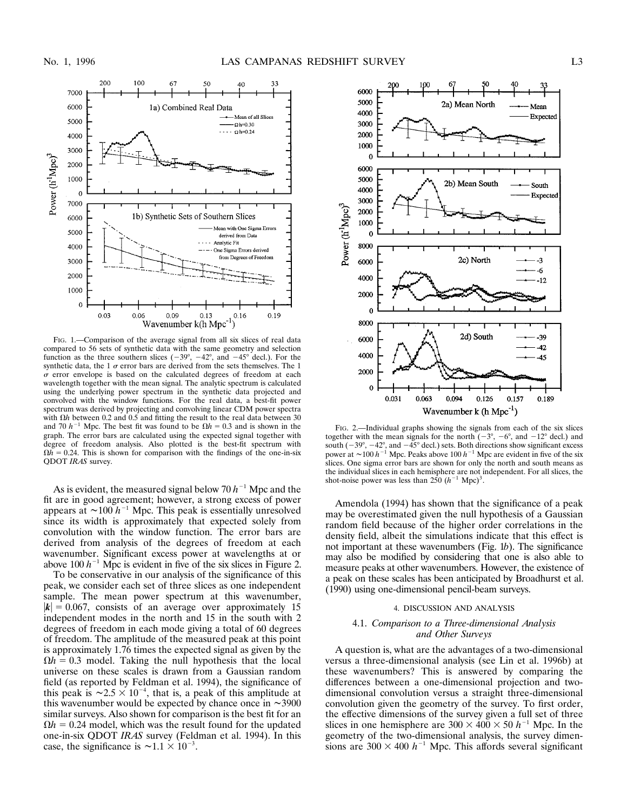

FIG. 1.—Comparison of the average signal from all six slices of real data compared to 56 sets of synthetic data with the same geometry and selection function as the three southern slices  $(-39^{\circ}, -42^{\circ}, \text{ and } -45^{\circ} \text{ decl.})$ . For the synthetic data, the 1  $\sigma$  error bars are derived from the sets themselves. The 1  $\sigma$  error envelope is based on the calculated degrees of freedom at each wavelength together with the mean signal. The analytic spectrum is calculated using the underlying power spectrum in the synthetic data projected and convolved with the window functions. For the real data, a best-fit power spectrum was derived by projecting and convolving linear CDM power spectra with  $\Omega h$  between 0.2 and 0.5 and fitting the result to the real data between 30 and 70  $h^{-1}$  Mpc. The best fit was found to be  $\Omega h = 0.3$  and is shown in the graph. The error bars are calculated using the expected signal together with degree of freedom analysis. Also plotted is the best-fit spectrum with  $\Omega h = 0.24$ . This is shown for comparison with the findings of the one-in-six QDOT *IRAS* survey.

As is evident, the measured signal below  $70 h^{-1}$  Mpc and the fit are in good agreement; however, a strong excess of power appears at  $\sim 100 h^{-1}$  Mpc. This peak is essentially unresolved since its width is approximately that expected solely from convolution with the window function. The error bars are derived from analysis of the degrees of freedom at each wavenumber. Significant excess power at wavelengths at or above 100  $h^{-1}$  Mpc is evident in five of the six slices in Figure 2.

To be conservative in our analysis of the significance of this peak, we consider each set of three slices as one independent sample. The mean power spectrum at this wavenumber,  $|\mathbf{k}| = 0.067$ , consists of an average over approximately 15 independent modes in the north and 15 in the south with 2 degrees of freedom in each mode giving a total of 60 degrees of freedom. The amplitude of the measured peak at this point is approximately 1.76 times the expected signal as given by the  $\Omega h = 0.3$  model. Taking the null hypothesis that the local universe on these scales is drawn from a Gaussian random field (as reported by Feldman et al. 1994), the significance of this peak is  $\sim 2.5 \times 10^{-4}$ , that is, a peak of this amplitude at this wavenumber would be expected by chance once in  $\sim$  3900 similar surveys. Also shown for comparison is the best fit for an  $\Omega h = 0.24$  model, which was the result found for the updated one-in-six QDOT *IRAS* survey (Feldman et al. 1994). In this case, the significance is  $\sim$ 1.1  $\times$  10<sup>-3</sup>.



FIG. 2.—Individual graphs showing the signals from each of the six slices together with the mean signals for the north  $(-3^{\circ}, -6^{\circ}, \text{ and } -12^{\circ} \text{ decl.})$  and south ( $-39^\circ$ ,  $-42^\circ$ , and  $-45^\circ$  decl.) sets. Both directions show significant excess power at  $\sim$ 100 *h*<sup>-1</sup> Mpc. Peaks above 100 *h*<sup>-1</sup> Mpc are evident in five of the six slices. One sigma error bars are shown for only the north and south means as the individual slices in each hemisphere are not independent. For all slices, the shot-noise power was less than  $250 (h^{-1}$  Mpc)<sup>3</sup>.

Amendola (1994) has shown that the significance of a peak may be overestimated given the null hypothesis of a Gaussian random field because of the higher order correlations in the density field, albeit the simulations indicate that this effect is not important at these wavenumbers (Fig. 1*b*). The significance may also be modified by considering that one is also able to measure peaks at other wavenumbers. However, the existence of a peak on these scales has been anticipated by Broadhurst et al. (1990) using one-dimensional pencil-beam surveys.

#### 4. DISCUSSION AND ANALYSIS

### 4.1. *Comparison to a Three-dimensional Analysis and Other Surveys*

A question is, what are the advantages of a two-dimensional versus a three-dimensional analysis (see Lin et al. 1996b) at these wavenumbers? This is answered by comparing the differences between a one-dimensional projection and twodimensional convolution versus a straight three-dimensional convolution given the geometry of the survey. To first order, the effective dimensions of the survey given a full set of three slices in one hemisphere are  $300 \times 400 \times 50$  *h*<sup>-1</sup> Mpc. In the geometry of the two-dimensional analysis, the survey dimensions are  $300 \times 400$   $h^{-1}$  Mpc. This affords several significant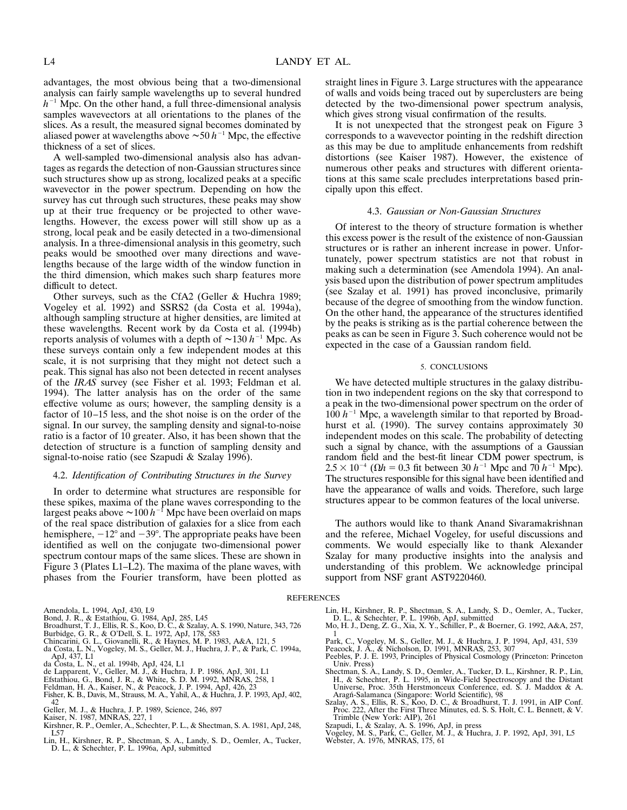advantages, the most obvious being that a two-dimensional analysis can fairly sample wavelengths up to several hundred  $h^{-1}$  Mpc. On the other hand, a full three-dimensional analysis samples wavevectors at all orientations to the planes of the slices. As a result, the measured signal becomes dominated by aliased power at wavelengths above  $\sim 50$  *h*<sup>-1</sup> Mpc, the effective thickness of a set of slices.

A well-sampled two-dimensional analysis also has advantages as regards the detection of non-Gaussian structures since such structures show up as strong, localized peaks at a specific wavevector in the power spectrum. Depending on how the survey has cut through such structures, these peaks may show up at their true frequency or be projected to other wavelengths. However, the excess power will still show up as a strong, local peak and be easily detected in a two-dimensional analysis. In a three-dimensional analysis in this geometry, such peaks would be smoothed over many directions and wavelengths because of the large width of the window function in the third dimension, which makes such sharp features more difficult to detect.

Other surveys, such as the CfA2 (Geller & Huchra 1989; Vogeley et al. 1992) and SSRS2 (da Costa et al. 1994a), although sampling structure at higher densities, are limited at these wavelengths. Recent work by da Costa et al. (1994b) reports analysis of volumes with a depth of  $\sim$ 130 *h*<sup>-1</sup> Mpc. As these surveys contain only a few independent modes at this scale, it is not surprising that they might not detect such a peak. This signal has also not been detected in recent analyses of the *IRAS* survey (see Fisher et al. 1993; Feldman et al. 1994). The latter analysis has on the order of the same effective volume as ours; however, the sampling density is a factor of 10–15 less, and the shot noise is on the order of the signal. In our survey, the sampling density and signal-to-noise ratio is a factor of 10 greater. Also, it has been shown that the detection of structure is a function of sampling density and signal-to-noise ratio (see Szapudi & Szalay 1996).

#### 4.2. *Identification of Contributing Structures in the Survey*

In order to determine what structures are responsible for these spikes, maxima of the plane waves corresponding to the largest peaks above  $\sim 100 h^{-1}$  Mpc have been overlaid on maps of the real space distribution of galaxies for a slice from each hemisphere,  $-12^{\circ}$  and  $-39^{\circ}$ . The appropriate peaks have been identified as well on the conjugate two-dimensional power spectrum contour maps of the same slices. These are shown in Figure 3 (Plates L1–L2). The maxima of the plane waves, with phases from the Fourier transform, have been plotted as

Amendola, L. 1994, ApJ, 430, L9

- 
- 
- 
- 
- Bond, J. R., & Estathiou, G. 1984, ApJ, 285, L45<br>Broadhurst, T. J., Ellis, R. S., Koo, D. C., & Szalay, A. S. 1990, Nature, 343, 726<br>Burbidge, G. R., & O'Dell, S. L. 1972, ApJ, 178, 583<br>Chincarini, G. L., Giovanelli, R., & ApJ, 437, L1
- da Costa, L. N., et al. 1994b, ApJ, 424, L1
- 
- de Lapparent, V., Geller, M. J., & Huchra, J. P. 1986, ApJ, 301, L1<br>Efstathiou, G., Bond, J. R., & White, S. D. M. 1992, MNRAS, 258, 1<br>Feldman, H. A., Kaiser, N., & Peacock, J. P. 1994, ApJ, 426, 23
- 
- Fisher, K. B., Davis, M., Strauss, M. A., Yahil, A., & Huchra, J. P. 1993, ApJ, 402, 42 Geller, M. J., & Huchra, J. P. 1989, Science, 246, 897
- 
- Kaiser, N. 1987, MNRAS, 227, 1
- Kirshner, R. P., Oemler, A., Schechter, P. L., & Shectman, S. A. 1981, ApJ, 248, L57
- Lin, H., Kirshner, R. P., Shectman, S. A., Landy, S. D., Oemler, A., Tucker, D. L., & Schechter, P. L. 1996a, ApJ, submitted

straight lines in Figure 3. Large structures with the appearance of walls and voids being traced out by superclusters are being detected by the two-dimensional power spectrum analysis, which gives strong visual confirmation of the results.

It is not unexpected that the strongest peak on Figure 3 corresponds to a wavevector pointing in the redshift direction as this may be due to amplitude enhancements from redshift distortions (see Kaiser 1987). However, the existence of numerous other peaks and structures with different orientations at this same scale precludes interpretations based principally upon this effect.

## 4.3. *Gaussian or Non-Gaussian Structures*

Of interest to the theory of structure formation is whether this excess power is the result of the existence of non-Gaussian structures or is rather an inherent increase in power. Unfortunately, power spectrum statistics are not that robust in making such a determination (see Amendola 1994). An analysis based upon the distribution of power spectrum amplitudes (see Szalay et al. 1991) has proved inconclusive, primarily because of the degree of smoothing from the window function. On the other hand, the appearance of the structures identified by the peaks is striking as is the partial coherence between the peaks as can be seen in Figure 3. Such coherence would not be expected in the case of a Gaussian random field.

#### 5. CONCLUSIONS

We have detected multiple structures in the galaxy distribution in two independent regions on the sky that correspond to a peak in the two-dimensional power spectrum on the order of  $100 h^{-1}$  Mpc, a wavelength similar to that reported by Broadhurst et al. (1990). The survey contains approximately 30 independent modes on this scale. The probability of detecting such a signal by chance, with the assumptions of a Gaussian random field and the best-fit linear CDM power spectrum, is  $2.5 \times 10^{-4}$  ( $\Omega h = 0.3$  fit between 30 *h*<sup>-1</sup> Mpc and 70 *h*<sup>-1</sup> Mpc). The structures responsible for this signal have been identified and have the appearance of walls and voids. Therefore, such large structures appear to be common features of the local universe.

The authors would like to thank Anand Sivaramakrishnan and the referee, Michael Vogeley, for useful discussions and comments. We would especially like to thank Alexander Szalay for many productive insights into the analysis and understanding of this problem. We acknowledge principal support from NSF grant AST9220460.

#### **REFERENCES**

- 
- Lin, H., Kirshner, R. P., Shectman, S. A., Landy, S. D., Oemler, A., Tucker, D. L., & Schechter, P. L. 1996b, ApJ, submitted Mo, H. J., Deng, Z. G., Xia, X. Y., Schiller, P., & Boerner, G. 1992, A&A, 257, 1
- 
- 
- Park, C., Vogeley, M. S., Geller, M. J., & Huchra, J. P. 1994, ApJ, 431, 539 Peacock, J. A., & Nicholson, D. 1991, MNRAS, 253, 307 Peebles, P. J. E. 1993, Principles of Physical Cosmology (Princeton: Princeton Univ. Press)
- Shectman, S. A., Landy, S. D., Oemler, A., Tucker, D. L., Kirshner, R. P., Lin, H., & Schechter, P. L. 1995, in Wide-Field Spectroscopy and the Distant Universe, Proc. 35th Herstmonceux Conference, ed. S. J. Maddox & A. Ar
- Szalay, A. S., Ellis, R. S., Koo, D. C., & Broadhurst, T. J. 1991, in AIP Conf. Proc. 222, After the First Three Minutes, ed. S. S. Holt, C. L. Bennett, & V. Trimble (New York: AIP), 261
- 
- Szapudi, I., & Szalay, A. S. 1996, ApJ, in press Vogeley, M. S., Park, C., Geller, M. J., & Huchra, J. P. 1992, ApJ, 391, L5 Webster, A. 1976, MNRAS, 175, 61
-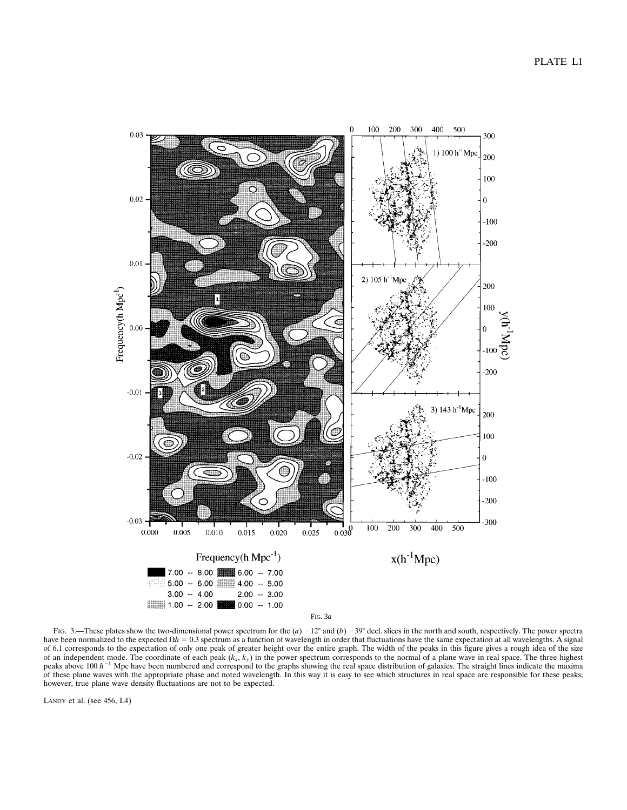

FIG. 3.—These plates show the two-dimensional power spectrum for the  $(a) -12^{\circ}$  and  $(b) -39^{\circ}$  decl. slices in the north and south, respectively. The power spectra have been normalized to the expected  $\Omega h = 0.3$  spectrum as a function of wavelength in order that fluctuations have the same expectation at all wavelengths. A signal of 6.1 corresponds to the expectation of only one peak of greater height over the entire graph. The width of the peaks in this figure gives a rough idea of the size of an independent mode. The coordinate of each peak (*kx*, *ky*) in the power spectrum corresponds to the normal of a plane wave in real space. The three highest peaks above 100  $h^{-1}$  Mpc have been numbered and correspond to the graphs showing the real space distribution of galaxies. The straight lines indicate the maxima of these plane waves with the appropriate phase and noted wavelength. In this way it is easy to see which structures in real space are responsible for these peaks; however, true plane wave density fluctuations are not to be expected.

LANDY et al. (see 456, L4)